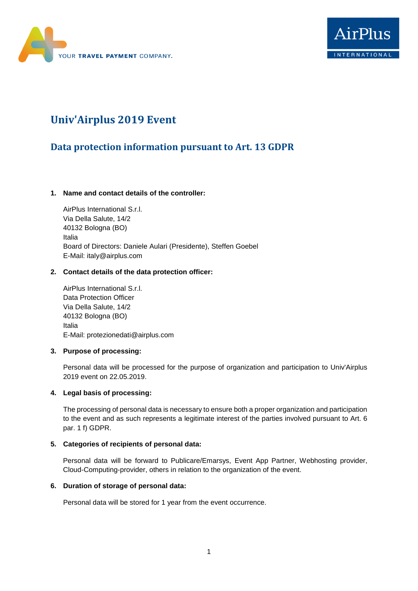



# **Univ'Airplus 2019 Event**

# **Data protection information pursuant to Art. 13 GDPR**

# **1. Name and contact details of the controller:**

AirPlus International S.r.l. Via Della Salute, 14/2 40132 Bologna (BO) Italia Board of Directors: Daniele Aulari (Presidente), Steffen Goebel E-Mail: italy@airplus.com

## **2. Contact details of the data protection officer:**

AirPlus International S.r.l. Data Protection Officer Via Della Salute, 14/2 40132 Bologna (BO) Italia E-Mail: [protezionedati@airplus.com](mailto:protezionedati@airplus.com?subject=)

### **3. Purpose of processing:**

Personal data will be processed for the purpose of organization and participation to Univ'Airplus 2019 event on 22.05.2019.

#### **4. Legal basis of processing:**

The processing of personal data is necessary to ensure both a proper organization and participation to the event and as such represents a legitimate interest of the parties involved pursuant to Art. 6 par. 1 f) GDPR.

#### **5. Categories of recipients of personal data:**

Personal data will be forward to Publicare/Emarsys, Event App Partner, Webhosting provider, Cloud-Computing-provider, others in relation to the organization of the event.

#### **6. Duration of storage of personal data:**

Personal data will be stored for 1 year from the event occurrence.